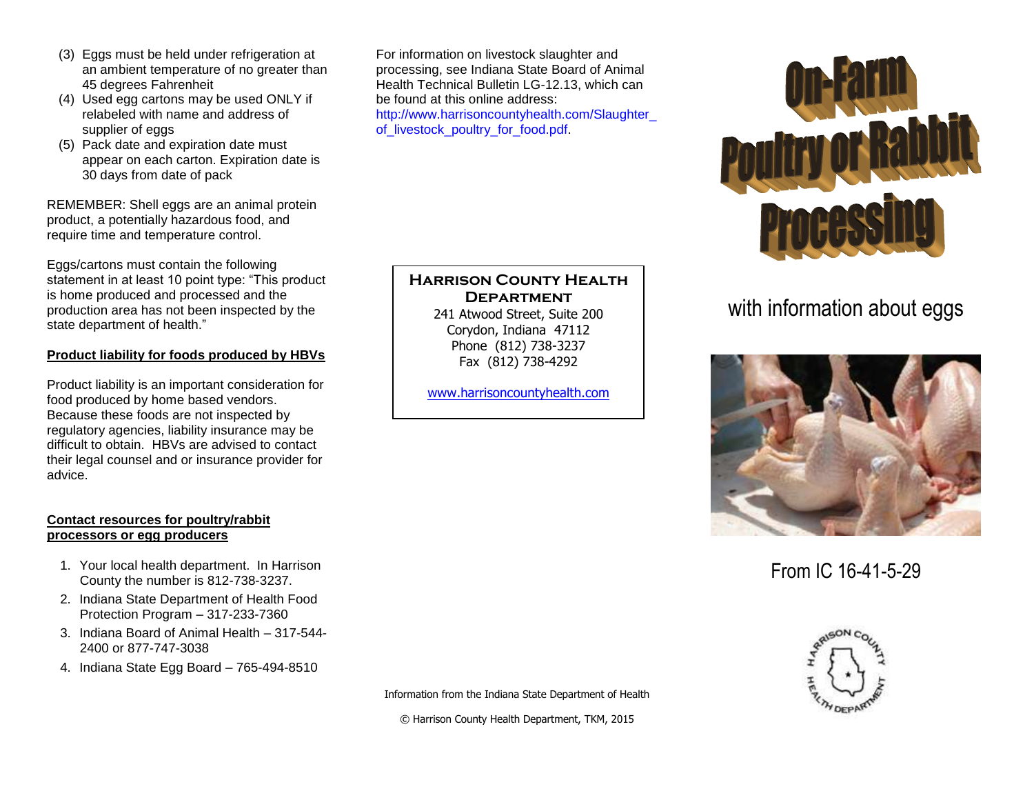- (3) Eggs must be held under refrigeration at an ambient temperature of no greater than 45 degrees Fahrenheit
- (4) Used egg cartons may be used ONLY if relabeled with name and address of supplier of eggs
- (5) Pack date and expiration date must appear on each carton. Expiration date is 30 days from date of pack

REMEMBER: Shell eggs are an animal protein product, a potentially hazardous food, and require time and temperature control.

Eggs/cartons must contain the following statement in at least 10 point type: "This product is home produced and processed and the production area has not been inspected by the state department of health."

#### **Product liability for foods produced by HBVs**

Product liability is an important consideration for food produced by home based vendors. Because these foods are not inspected by regulatory agencies, liability insurance may be difficult to obtain. HBVs are advised to contact their legal counsel and or insurance provider for advice.

#### **Contact resources for poultry/rabbit processors or egg producers**

- 1. Your local health department. In Harrison County the number is 812-738-3237.
- 2. Indiana State Department of Health Food Protection Program – 317-233-7360
- 3. Indiana Board of Animal Health 317-544- 2400 or 877-747-3038
- 4. Indiana State Egg Board 765-494-8510

For information on livestock slaughter and processing, see Indiana State Board of Animal Health Technical Bulletin LG-12.13, which can be found at this online address: http://www.harrisoncountyhealth.com/Slaughter\_ of livestock poultry for food.pdf.

### **Harrison County Health Department**

241 Atwood Street, Suite 200 Corydon, Indiana 47112 Phone (812) 738-3237 Fax (812) 738-4292

[www.harrisoncountyhealth.com](http://www.harrisoncountyhealth.com/)



# with information about eggs



From IC 16-41-5-29



Information from the Indiana State Department of Health

© Harrison County Health Department, TKM, 2015